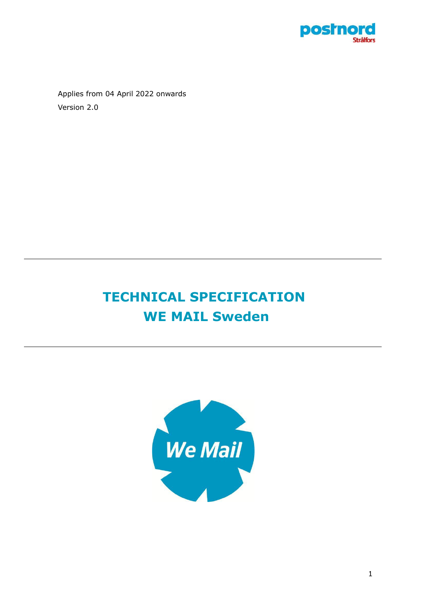

Applies from 04 April 2022 onwards Version 2.0

# **TECHNICAL SPECIFICATION WE MAIL Sweden**

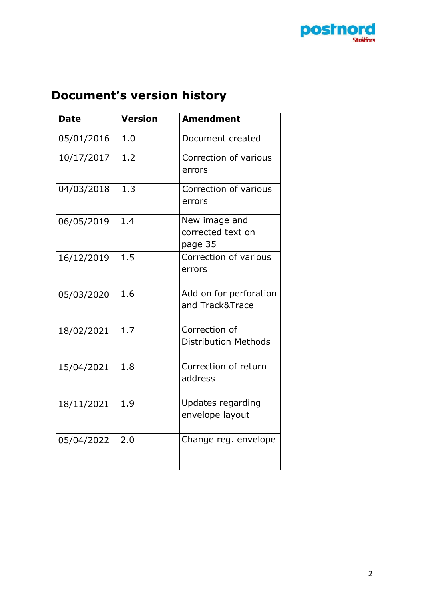

# <span id="page-1-0"></span>**Document's version history**

| <b>Date</b> | <b>Version</b> | <b>Amendment</b>                              |
|-------------|----------------|-----------------------------------------------|
| 05/01/2016  | 1.0            | Document created                              |
| 10/17/2017  | 1.2            | Correction of various<br>errors               |
| 04/03/2018  | 1.3            | Correction of various<br>errors               |
| 06/05/2019  | 1.4            | New image and<br>corrected text on<br>page 35 |
| 16/12/2019  | 1.5            | Correction of various<br>errors               |
| 05/03/2020  | 1.6            | Add on for perforation<br>and Track&Trace     |
| 18/02/2021  | 1.7            | Correction of<br><b>Distribution Methods</b>  |
| 15/04/2021  | 1.8            | Correction of return<br>address               |
| 18/11/2021  | 1.9            | Updates regarding<br>envelope layout          |
| 05/04/2022  | 2.0            | Change reg. envelope                          |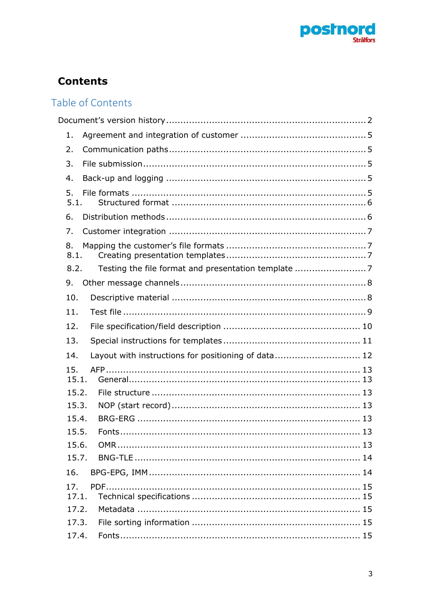

# **Contents**

# Table of Contents

| 1. |                                                             |    |
|----|-------------------------------------------------------------|----|
| 2. |                                                             |    |
| 3. |                                                             |    |
| 4. |                                                             |    |
| 5. | 5.1.                                                        |    |
| 6. |                                                             |    |
| 7. |                                                             |    |
| 8. | 8.1.                                                        |    |
|    | Testing the file format and presentation template 7<br>8.2. |    |
| 9. |                                                             |    |
|    | 10.                                                         |    |
|    | 11.                                                         |    |
|    | 12.                                                         |    |
|    | 13.                                                         |    |
|    | Layout with instructions for positioning of data 12<br>14.  |    |
|    | 15.<br>15.1.                                                |    |
|    | 15.2.                                                       |    |
|    | 15.3.                                                       |    |
|    | 15.4.                                                       |    |
|    | 15.5.<br>Fonts                                              | 13 |
|    | 15.6.<br>15.7.                                              |    |
|    | 16.                                                         |    |
|    | 17.                                                         |    |
|    | 17.1.                                                       |    |
|    | 17.2.                                                       |    |
|    | 17.3.                                                       |    |
|    | 17.4.                                                       |    |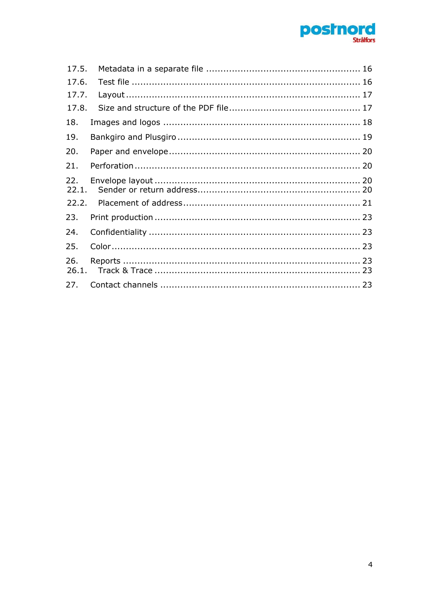

| 17.5.        |  |
|--------------|--|
| 17.6.        |  |
| 17.7.        |  |
| 17.8.        |  |
| 18.          |  |
| 19.          |  |
| 20.          |  |
| 21.          |  |
| 22.<br>22.1. |  |
| 22.2.        |  |
| 23.          |  |
| 24.          |  |
| 25.          |  |
| 26.          |  |
|              |  |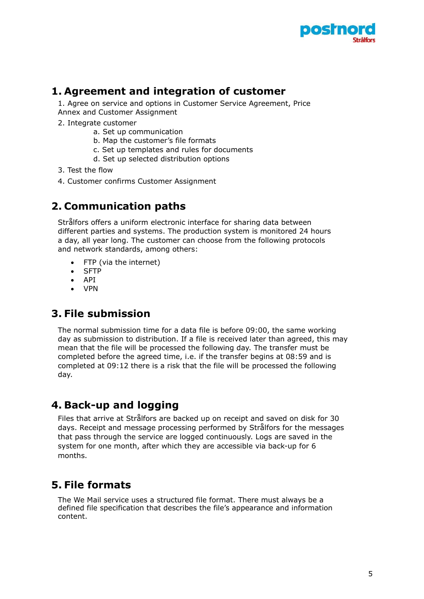

### <span id="page-4-0"></span>**1. Agreement and integration of customer**

1. Agree on service and options in Customer Service Agreement, Price Annex and Customer Assignment

- 2. Integrate customer
	- a. Set up communication
	- b. Map the customer's file formats
	- c. Set up templates and rules for documents
	- d. Set up selected distribution options
- 3. Test the flow
- 4. Customer confirms Customer Assignment

### <span id="page-4-1"></span>**2. Communication paths**

Strålfors offers a uniform electronic interface for sharing data between different parties and systems. The production system is monitored 24 hours a day, all year long. The customer can choose from the following protocols and network standards, among others:

- FTP (via the internet)
- SFTP
- API
- VPN

### <span id="page-4-2"></span>**3. File submission**

The normal submission time for a data file is before 09:00, the same working day as submission to distribution. If a file is received later than agreed, this may mean that the file will be processed the following day. The transfer must be completed before the agreed time, i.e. if the transfer begins at 08:59 and is completed at 09:12 there is a risk that the file will be processed the following day.

### <span id="page-4-3"></span>**4. Back-up and logging**

Files that arrive at Strålfors are backed up on receipt and saved on disk for 30 days. Receipt and message processing performed by Strålfors for the messages that pass through the service are logged continuously. Logs are saved in the system for one month, after which they are accessible via back-up for 6 months.

### <span id="page-4-4"></span>**5. File formats**

The We Mail service uses a structured file format. There must always be a defined file specification that describes the file's appearance and information content.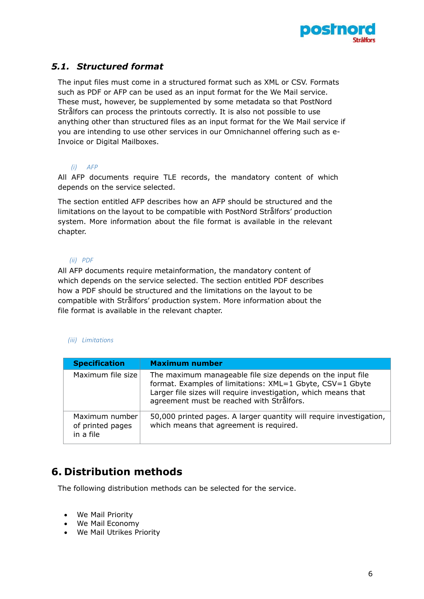

### <span id="page-5-0"></span>*5.1. Structured format*

The input files must come in a structured format such as XML or CSV. Formats such as PDF or AFP can be used as an input format for the We Mail service. These must, however, be supplemented by some metadata so that PostNord Strålfors can process the printouts correctly. It is also not possible to use anything other than structured files as an input format for the We Mail service if you are intending to use other services in our Omnichannel offering such as e-Invoice or Digital Mailboxes.

#### *(i) AFP*

All AFP documents require TLE records, the mandatory content of which depends on the service selected.

The section entitled AFP describes how an AFP should be structured and the limitations on the layout to be compatible with PostNord Strålfors' production system. More information about the file format is available in the relevant chapter.

#### *(ii) PDF*

All AFP documents require metainformation, the mandatory content of which depends on the service selected. The section entitled PDF describes how a PDF should be structured and the limitations on the layout to be compatible with Strålfors' production system. More information about the file format is available in the relevant chapter.

#### *(iii) Limitations*

| <b>Specification</b>                            | <b>Maximum number</b>                                                                                                                                                                                                                  |
|-------------------------------------------------|----------------------------------------------------------------------------------------------------------------------------------------------------------------------------------------------------------------------------------------|
| Maximum file size                               | The maximum manageable file size depends on the input file<br>format. Examples of limitations: XML=1 Gbyte, CSV=1 Gbyte<br>Larger file sizes will require investigation, which means that<br>agreement must be reached with Strålfors. |
| Maximum number<br>of printed pages<br>in a file | 50,000 printed pages. A larger quantity will require investigation,<br>which means that agreement is required.                                                                                                                         |

### <span id="page-5-1"></span>**6. Distribution methods**

The following distribution methods can be selected for the service.

- We Mail Priority
- We Mail Economy
- We Mail Utrikes Priority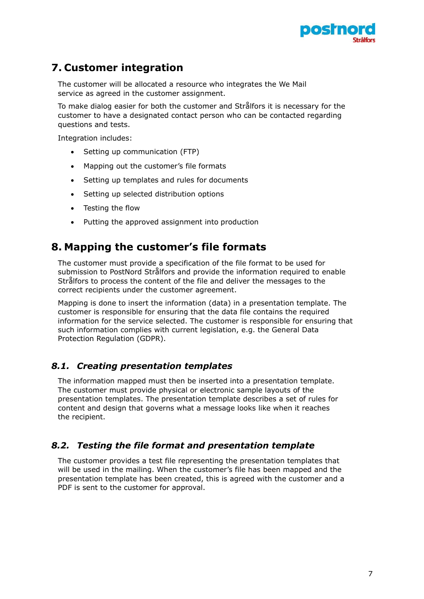

### <span id="page-6-0"></span>**7. Customer integration**

The customer will be allocated a resource who integrates the We Mail service as agreed in the customer assignment.

To make dialog easier for both the customer and Strålfors it is necessary for the customer to have a designated contact person who can be contacted regarding questions and tests.

Integration includes:

- Setting up communication (FTP)
- Mapping out the customer's file formats
- Setting up templates and rules for documents
- Setting up selected distribution options
- Testing the flow
- Putting the approved assignment into production

### <span id="page-6-1"></span>**8. Mapping the customer's file formats**

The customer must provide a specification of the file format to be used for submission to PostNord Strålfors and provide the information required to enable Strålfors to process the content of the file and deliver the messages to the correct recipients under the customer agreement.

Mapping is done to insert the information (data) in a presentation template. The customer is responsible for ensuring that the data file contains the required information for the service selected. The customer is responsible for ensuring that such information complies with current legislation, e.g. the General Data Protection Regulation (GDPR).

#### <span id="page-6-2"></span>*8.1. Creating presentation templates*

The information mapped must then be inserted into a presentation template. The customer must provide physical or electronic sample layouts of the presentation templates. The presentation template describes a set of rules for content and design that governs what a message looks like when it reaches the recipient.

#### <span id="page-6-3"></span>*8.2. Testing the file format and presentation template*

The customer provides a test file representing the presentation templates that will be used in the mailing. When the customer's file has been mapped and the presentation template has been created, this is agreed with the customer and a PDF is sent to the customer for approval.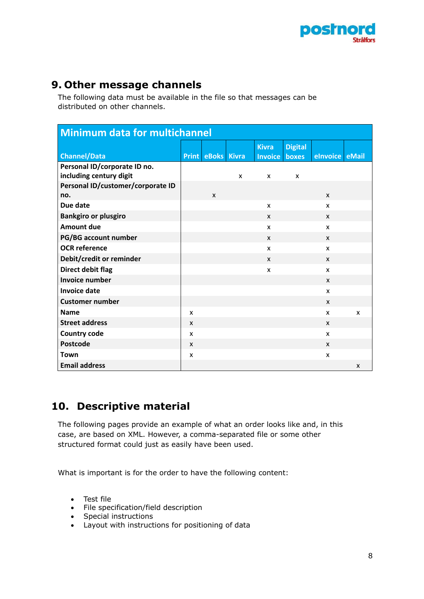

### <span id="page-7-0"></span>**9. Other message channels**

The following data must be available in the file so that messages can be distributed on other channels.

| <b>Minimum data for multichannel</b>                    |              |                          |                           |                |                |                |   |
|---------------------------------------------------------|--------------|--------------------------|---------------------------|----------------|----------------|----------------|---|
|                                                         |              |                          |                           | <b>Kivra</b>   | <b>Digital</b> |                |   |
| <b>Channel/Data</b>                                     |              | <b>Print eBoks Kivra</b> |                           | <b>Invoice</b> | boxes          | elnvoice eMail |   |
| Personal ID/corporate ID no.<br>including century digit |              |                          | $\boldsymbol{\mathsf{x}}$ | X              | X              |                |   |
| Personal ID/customer/corporate ID                       |              |                          |                           |                |                |                |   |
| no.                                                     |              | X                        |                           |                |                | X              |   |
| Due date                                                |              |                          |                           | X              |                | X              |   |
| <b>Bankgiro or plusgiro</b>                             |              |                          |                           | X              |                | X              |   |
| <b>Amount due</b>                                       |              |                          |                           | X              |                | X              |   |
| PG/BG account number                                    |              |                          |                           | X              |                | X              |   |
| <b>OCR</b> reference                                    |              |                          |                           | X              |                | X              |   |
| Debit/credit or reminder                                |              |                          |                           | X              |                | X              |   |
| Direct debit flag                                       |              |                          |                           | X              |                | X              |   |
| <b>Invoice number</b>                                   |              |                          |                           |                |                | X              |   |
| <b>Invoice date</b>                                     |              |                          |                           |                |                | X              |   |
| <b>Customer number</b>                                  |              |                          |                           |                |                | $\mathsf{x}$   |   |
| <b>Name</b>                                             | X            |                          |                           |                |                | X              | X |
| <b>Street address</b>                                   | X            |                          |                           |                |                | X              |   |
| <b>Country code</b>                                     | X            |                          |                           |                |                | X              |   |
| Postcode                                                | $\mathsf{x}$ |                          |                           |                |                | X              |   |
| <b>Town</b>                                             | X            |                          |                           |                |                | X              |   |
| <b>Email address</b>                                    |              |                          |                           |                |                |                | X |

### <span id="page-7-1"></span>**10. Descriptive material**

The following pages provide an example of what an order looks like and, in this case, are based on XML. However, a comma-separated file or some other structured format could just as easily have been used.

What is important is for the order to have the following content:

- Test file
- File specification/field description
- Special instructions
- Layout with instructions for positioning of data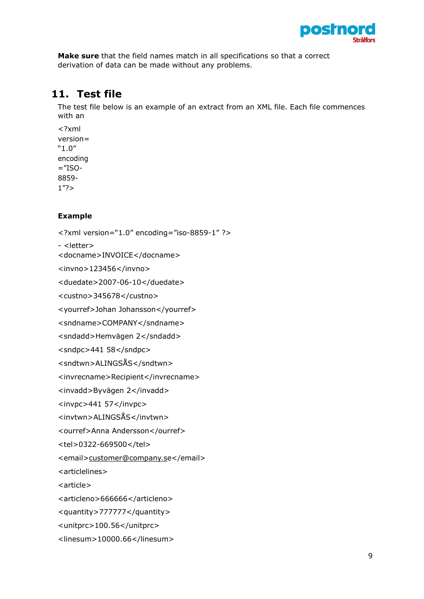

**Make sure** that the field names match in all specifications so that a correct derivation of data can be made without any problems.

### <span id="page-8-0"></span>**11. Test file**

The test file below is an example of an extract from an XML file. Each file commences with an

<?xml version= "1.0" encoding  $=$ "ISO-8859-  $1"?$ 

#### **Example**

```
<?xml version="1.0" encoding="iso-8859-1" ?>
- <letter>
<docname>INVOICE</docname>
<invno>123456</invno>
<duedate>2007-06-10</duedate>
<custno>345678</custno>
<yourref>Johan Johansson</yourref>
<sndname>COMPANY</sndname>
<sndadd>Hemvägen 2</sndadd>
<sndpc>441 58</sndpc>
<sndtwn>ALINGSÅS</sndtwn>
<invrecname>Recipient</invrecname>
<invadd>Byvägen 2</invadd>
<invpc>441 57</invpc>
<invtwn>ALINGSÅS</invtwn>
<ourref>Anna Andersson</ourref>
<tel>0322-669500</tel>
>customer@company.se</email>
<articlelines>
<article>
<articleno>666666</articleno>
<quantity>777777</quantity>
<unitprc>100.56</unitprc> 
<linesum>10000.66</linesum>
```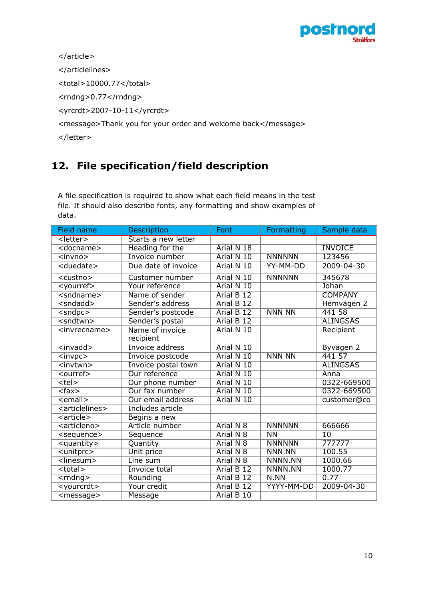

</article>

</articlelines>

<total>10000.77</total>

<rndng>0.77</rndng>

<yrcrdt>2007-10-11</yrcrdt>

<message>Thank you for your order and welcome back</message>

</letter>

# <span id="page-9-0"></span>**12. File specification/field description**

A file specification is required to show what each field means in the test file. It should also describe fonts, any formatting and show examples of data.

| <b>Field name</b>                                   | <b>Description</b>           | Font                  | Formatting     | Sample data     |
|-----------------------------------------------------|------------------------------|-----------------------|----------------|-----------------|
| <letter></letter>                                   | Starts a new letter          |                       |                |                 |
| <docname></docname>                                 | Heading for the              | Arial N 18            |                | <b>INVOICE</b>  |
| $\overline{\text{v}}$                               | Invoice number               | Arial N 10            | <b>NNNNNN</b>  | 123456          |
| <duedate></duedate>                                 | Due date of invoice          | Arial N 10            | YY-MM-DD       | 2009-04-30      |
| $\overline{\text{ <}$ custno>                       | <b>Customer number</b>       | Arial N 10            | <b>NNNNNN</b>  | 345678          |
| $<$ yourref>                                        | Your reference               | Arial N 10            |                | Johan           |
| $\overline{\leq}$ sndname $\geq$                    | Name of sender               | Arial B 12            |                | <b>COMPANY</b>  |
| $\overline{\leq}$ sndadd $\overline{\leq}$          | Sender's address             | Arial B 12            |                | Hemvägen 2      |
| $\overline{\leq}$ sndpc $\geq$                      | Sender's postcode            | Arial B <sub>12</sub> | <b>NNN NN</b>  | 441 58          |
| $\overline{\mathsf{andtwn}}$                        | Sender's postal              | Arial B <sub>12</sub> |                | <b>ALINGSAS</b> |
| $\overline{\leq}$ invrecname>                       | Name of invoice<br>recipient | Arial N 10            |                | Recipient       |
| $\overline{\text{<}$ invadd $\text{>}$              | Invoice address              | Arial N 10            |                | Byvägen 2       |
| $\overline{\text{v}}$                               | Invoice postcode             | Arial N 10            | <b>NNN NN</b>  | 441 57          |
| $\overline{\text{}}$                                | Invoice postal town          | Arial N 10            |                | <b>ALINGSAS</b> |
| $\overline{\leq}$ ourref>                           | Our reference                | Arial N 10            |                | Anna            |
| $te$                                                | Our phone number             | Arial N 10            |                | 0322-669500     |
| $\overline{\text{c}}$ fax>                          | Our fax number               | Arial N 10            |                | 0322-669500     |
| $\le$ email $>$                                     | Our email address            | Arial N 10            |                | customer@co     |
| <articlelines></articlelines>                       | <b>Includes article</b>      |                       |                |                 |
| $\overline{\left.\right.}<$ article $\left.\right>$ | Begins a new                 |                       |                |                 |
| <articleno></articleno>                             | Article number               | Arial N 8             | <b>NNNNNN</b>  | 666666          |
| <sequence></sequence>                               | Sequence                     | Arial N 8             | N <sub>N</sub> | $\overline{10}$ |
| $\overline{\phantom{a}}$ <quantity></quantity>      | Quantity                     | Arial N 8             | <b>NNNNNN</b>  | 777777          |
| <unitprc></unitprc>                                 | Unit price                   | Arial N 8             | NNN.NN         | 100.55          |
| $\overline{\text{<}}$ linesum>                      | Line sum                     | Arial N 8             | NNNN.NN        | 1000.66         |
| $total$                                             | <b>Invoice total</b>         | Arial B <sub>12</sub> | NNNN.NN        | 1000.77         |
| $\overline{\mathsf{crndng}}$                        | Rounding                     | Arial B 12            | N.NN           | 0.77            |
| <yourcrdt></yourcrdt>                               | Your credit                  | Arial B 12            | YYYY-MM-DD     | 2009-04-30      |
| $message$                                           | Message                      | Arial B 10            |                |                 |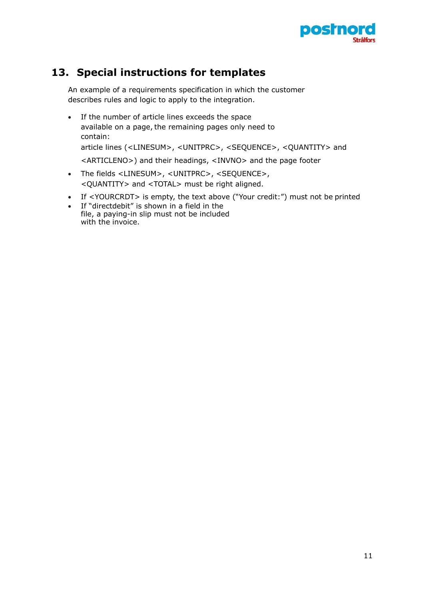

## <span id="page-10-0"></span>**13. Special instructions for templates**

An example of a requirements specification in which the customer describes rules and logic to apply to the integration.

- If the number of article lines exceeds the space available on a page, the remaining pages only need to contain: article lines (<LINESUM>, <UNITPRC>, <SEQUENCE>, <QUANTITY> and <ARTICLENO>) and their headings, <INVNO> and the page footer
- The fields <LINESUM>, <UNITPRC>, <SEQUENCE>, <QUANTITY> and <TOTAL> must be right aligned.
- If <YOURCRDT> is empty, the text above ("Your credit:") must not be printed
- If "directdebit" is shown in a field in the file, a paying-in slip must not be included with the invoice.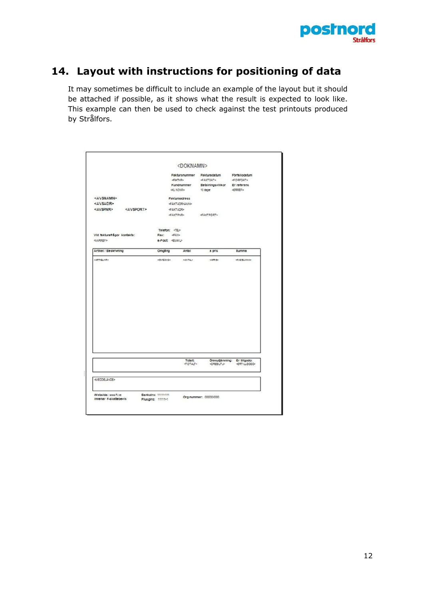

## <span id="page-11-0"></span>**14. Layout with instructions for positioning of data**

It may sometimes be difficult to include an example of the layout but it should be attached if possible, as it shows what the result is expected to look like. This example can then be used to check against the test printouts produced by Strålfors.

|                                             |                       |                          | <doknamn></doknamn>                                        |                                                                     |                                                                 |
|---------------------------------------------|-----------------------|--------------------------|------------------------------------------------------------|---------------------------------------------------------------------|-----------------------------------------------------------------|
|                                             |                       |                          | Fakturanummer<br>dama<br>Kundnummer<br><b>OLI NONR&gt;</b> | Fakturadatum<br><b>GAKTOAT&gt;</b><br>Betsiningsvillkor<br>10 dagar | Förfallodatum<br><br>definity<br>Er referenc<br><erref></erref> |
| <av\$namn><br/><avsadr></avsadr></av\$namn> |                       |                          | Fakturaadrecc<br><b>GAKTADRIALING</b>                      |                                                                     |                                                                 |
| <avspnr></avspnr>                           | <av\$port></av\$port> |                          | <b>GARTADR&gt;</b><br><b>GAKTRIPO</b>                      |                                                                     |                                                                 |
|                                             |                       | Telefon: <tel></tel>     |                                                            |                                                                     |                                                                 |
| Vid fakturafrågor kontakta:<br>             |                       | Fax: 420<br>e-Post EUAID |                                                            |                                                                     |                                                                 |
| Artikel / Beckrivning                       |                       | Omgång                   | Antal                                                      | a pric                                                              | <b>Burnma</b>                                                   |
|                                             |                       |                          |                                                            |                                                                     |                                                                 |
|                                             |                       | vollsälvs»               | NAVTAL *                                                   | NAMES                                                               | 4830528859                                                      |
| NATIONAL                                    |                       |                          |                                                            |                                                                     |                                                                 |
|                                             |                       |                          | <b>Totalt:</b><br><br>drag>                                | <b>ORESUTU-</b>                                                     | Orecutiamning: Er tiligodo:<br><rtillgodo></rtillgodo>          |
| <booslande></booslande>                     |                       |                          |                                                            |                                                                     |                                                                 |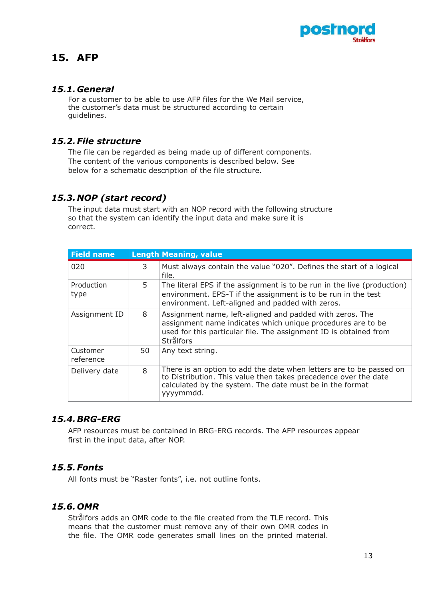

### <span id="page-12-0"></span>**15. AFP**

#### <span id="page-12-1"></span>*15.1. General*

For a customer to be able to use AFP files for the We Mail service, the customer's data must be structured according to certain guidelines.

#### <span id="page-12-2"></span>*15.2.File structure*

The file can be regarded as being made up of different components. The content of the various components is described below. See below for a schematic description of the file structure.

#### <span id="page-12-3"></span>*15.3. NOP (start record)*

The input data must start with an NOP record with the following structure so that the system can identify the input data and make sure it is correct.

| <b>Field name</b>     |    | <b>Length Meaning, value</b>                                                                                                                                                                                     |
|-----------------------|----|------------------------------------------------------------------------------------------------------------------------------------------------------------------------------------------------------------------|
| 020                   | 3  | Must always contain the value "020". Defines the start of a logical<br>file.                                                                                                                                     |
| Production<br>type    | 5. | The literal EPS if the assignment is to be run in the live (production)<br>environment. EPS-T if the assignment is to be run in the test<br>environment. Left-aligned and padded with zeros.                     |
| Assignment ID         | 8  | Assignment name, left-aligned and padded with zeros. The<br>assignment name indicates which unique procedures are to be<br>used for this particular file. The assignment ID is obtained from<br><b>Strålfors</b> |
| Customer<br>reference | 50 | Any text string.                                                                                                                                                                                                 |
| Delivery date         | 8  | There is an option to add the date when letters are to be passed on<br>to Distribution. This value then takes precedence over the date<br>calculated by the system. The date must be in the format<br>yyyymmdd.  |

#### <span id="page-12-4"></span>*15.4.BRG-ERG*

AFP resources must be contained in BRG-ERG records. The AFP resources appear first in the input data, after NOP.

#### <span id="page-12-5"></span>*15.5.Fonts*

All fonts must be "Raster fonts", i.e. not outline fonts.

#### <span id="page-12-6"></span>*15.6. OMR*

Strålfors adds an OMR code to the file created from the TLE record. This means that the customer must remove any of their own OMR codes in the file. The OMR code generates small lines on the printed material.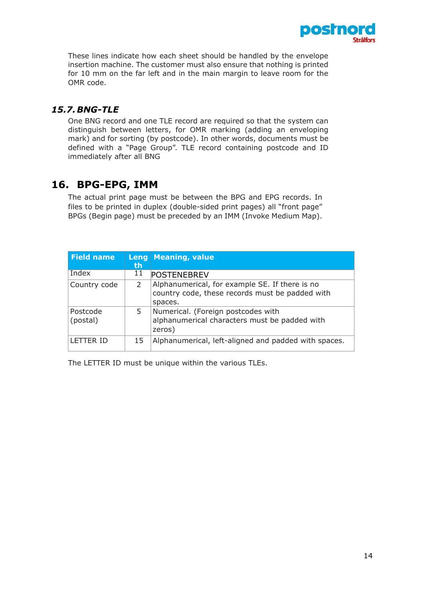

These lines indicate how each sheet should be handled by the envelope insertion machine. The customer must also ensure that nothing is printed for 10 mm on the far left and in the main margin to leave room for the OMR code.

#### <span id="page-13-0"></span>*15.7.BNG-TLE*

One BNG record and one TLE record are required so that the system can distinguish between letters, for OMR marking (adding an enveloping mark) and for sorting (by postcode). In other words, documents must be defined with a "Page Group". TLE record containing postcode and ID immediately after all BNG

### <span id="page-13-1"></span>**16. BPG-EPG, IMM**

The actual print page must be between the BPG and EPG records. In files to be printed in duplex (double-sided print pages) all "front page" BPGs (Begin page) must be preceded by an IMM (Invoke Medium Map).

| <b>Field name</b>    | Leng<br>th | Meaning, value                                                                                               |
|----------------------|------------|--------------------------------------------------------------------------------------------------------------|
| Index                | 11         | <b>POSTENEBREV</b>                                                                                           |
| Country code         | 2          | Alphanumerical, for example SE. If there is no<br>country code, these records must be padded with<br>spaces. |
| Postcode<br>(postal) | 5.         | Numerical. (Foreign postcodes with<br>alphanumerical characters must be padded with<br>zeros)                |
| <b>LETTER ID</b>     | 15         | Alphanumerical, left-aligned and padded with spaces.                                                         |

The LETTER ID must be unique within the various TLEs.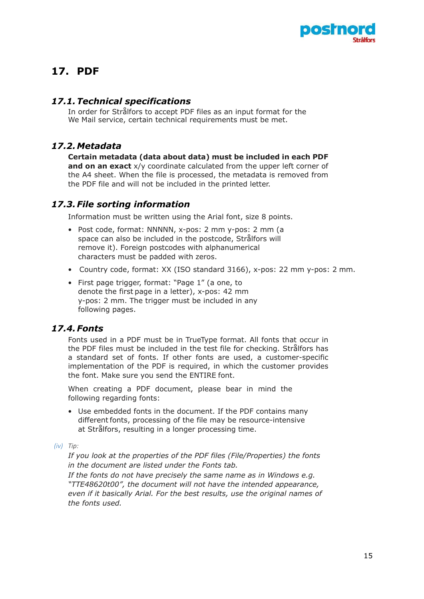

# <span id="page-14-0"></span>**17. PDF**

#### <span id="page-14-1"></span>*17.1.Technical specifications*

In order for Strålfors to accept PDF files as an input format for the We Mail service, certain technical requirements must be met.

### <span id="page-14-2"></span>*17.2.Metadata*

**Certain metadata (data about data) must be included in each PDF and on an exact** x/y coordinate calculated from the upper left corner of the A4 sheet. When the file is processed, the metadata is removed from the PDF file and will not be included in the printed letter.

#### <span id="page-14-3"></span>*17.3.File sorting information*

Information must be written using the Arial font, size 8 points.

- Post code, format: NNNNN, x-pos: 2 mm y-pos: 2 mm (a space can also be included in the postcode, Strålfors will remove it). Foreign postcodes with alphanumerical characters must be padded with zeros.
- Country code, format: XX (ISO standard 3166), x-pos: 22 mm y-pos: 2 mm.
- First page trigger, format: "Page 1" (a one, to denote the first page in a letter), x-pos: 42 mm y-pos: 2 mm. The trigger must be included in any following pages.

#### <span id="page-14-4"></span>*17.4.Fonts*

Fonts used in a PDF must be in TrueType format. All fonts that occur in the PDF files must be included in the test file for checking. Strålfors has a standard set of fonts. If other fonts are used, a customer-specific implementation of the PDF is required, in which the customer provides the font. Make sure you send the ENTIRE font.

When creating a PDF document, please bear in mind the following regarding fonts:

- Use embedded fonts in the document. If the PDF contains many different fonts, processing of the file may be resource-intensive at Strålfors, resulting in a longer processing time.
- *(iv) Tip:*

*If you look at the properties of the PDF files (File/Properties) the fonts in the document are listed under the Fonts tab.*

*If the fonts do not have precisely the same name as in Windows e.g. "TTE48620t00", the document will not have the intended appearance, even if it basically Arial. For the best results, use the original names of the fonts used.*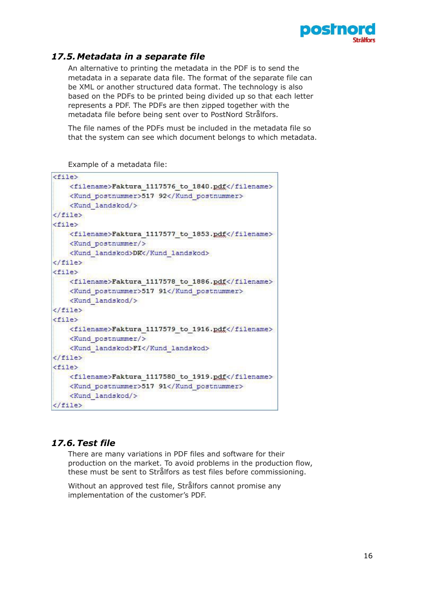

### <span id="page-15-0"></span>*17.5.Metadata in a separate file*

An alternative to printing the metadata in the PDF is to send the metadata in a separate data file. The format of the separate file can be XML or another structured data format. The technology is also based on the PDFs to be printed being divided up so that each letter represents a PDF. The PDFs are then zipped together with the metadata file before being sent over to PostNord Strålfors.

The file names of the PDFs must be included in the metadata file so that the system can see which document belongs to which metadata.

Example of a metadata file:

| $<$ file $>$     |                                                                                                                    |
|------------------|--------------------------------------------------------------------------------------------------------------------|
|                  | <filename>Faktura 1117576 to 1840.pdf</filename>                                                                   |
|                  | <kund postnummer="">517 92</kund>                                                                                  |
|                  | <kund landskod=""></kund>                                                                                          |
| $\langle$ file>  |                                                                                                                    |
| $<$ file $>$     |                                                                                                                    |
|                  | <filename>Faktura 1117577 to 1853.pdf</filename><br><kund postnummer=""></kund>                                    |
|                  | <kund landskod="">DK</kund>                                                                                        |
| $\langle$ /file> |                                                                                                                    |
| $<$ file $>$     |                                                                                                                    |
|                  | <filename>Faktura 1117578 to 1886.pdf</filename><br><kund postnummer="">517 91</kund><br><kund landskod=""></kund> |
| $\langle$ file>  |                                                                                                                    |
| $<$ file>        |                                                                                                                    |
|                  | <filename>Faktura 1117579 to 1916.pdf</filename><br><kund postnummer=""></kund><br><kund landskod="">FI</kund>     |
| $\langle$ /file> |                                                                                                                    |
| $<$ file $>$     |                                                                                                                    |
|                  | <filename>Faktura 1117580 to 1919.pdf</filename><br><kund postnummer="">517 91</kund><br><kund landskod=""></kund> |
| $\langle$ file>  |                                                                                                                    |

#### <span id="page-15-1"></span>*17.6.Test file*

There are many variations in PDF files and software for their production on the market. To avoid problems in the production flow, these must be sent to Strålfors as test files before commissioning.

Without an approved test file, Strålfors cannot promise any implementation of the customer's PDF.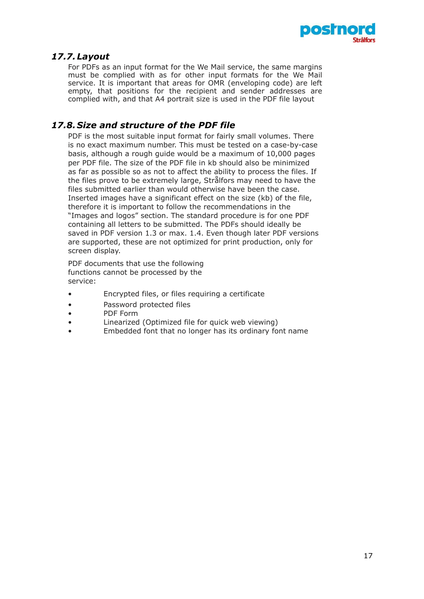

### <span id="page-16-0"></span>*17.7.Layout*

For PDFs as an input format for the We Mail service, the same margins must be complied with as for other input formats for the We Mail service. It is important that areas for OMR (enveloping code) are left empty, that positions for the recipient and sender addresses are complied with, and that A4 portrait size is used in the PDF file layout

### <span id="page-16-1"></span>*17.8. Size and structure of the PDF file*

PDF is the most suitable input format for fairly small volumes. There is no exact maximum number. This must be tested on a case-by-case basis, although a rough guide would be a maximum of 10,000 pages per PDF file. The size of the PDF file in kb should also be minimized as far as possible so as not to affect the ability to process the files. If the files prove to be extremely large, Strålfors may need to have the files submitted earlier than would otherwise have been the case. Inserted images have a significant effect on the size (kb) of the file, therefore it is important to follow the recommendations in the "Images and logos" section. The standard procedure is for one PDF containing all letters to be submitted. The PDFs should ideally be saved in PDF version 1.3 or max. 1.4. Even though later PDF versions are supported, these are not optimized for print production, only for screen display.

PDF documents that use the following functions cannot be processed by the service:

- Encrypted files, or files requiring a certificate
- Password protected files
- PDF Form
- Linearized (Optimized file for quick web viewing)
- Embedded font that no longer has its ordinary font name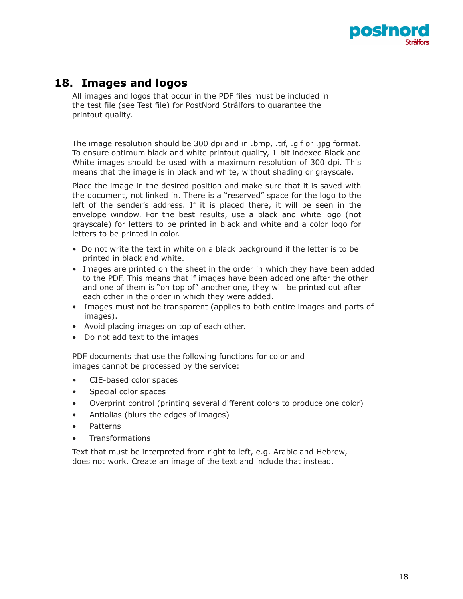

### **18. Images and logos**

<span id="page-17-0"></span>All images and logos that occur in the PDF files must be included in the test file (see Test file) for PostNord Strålfors to guarantee the printout quality.

The image resolution should be 300 dpi and in .bmp, .tif, .gif or .jpg format. To ensure optimum black and white printout quality, 1-bit indexed Black and White images should be used with a maximum resolution of 300 dpi. This means that the image is in black and white, without shading or grayscale.

Place the image in the desired position and make sure that it is saved with the document, not linked in. There is a "reserved" space for the logo to the left of the sender's address. If it is placed there, it will be seen in the envelope window. For the best results, use a black and white logo (not grayscale) for letters to be printed in black and white and a color logo for letters to be printed in color.

- Do not write the text in white on a black background if the letter is to be printed in black and white.
- Images are printed on the sheet in the order in which they have been added to the PDF. This means that if images have been added one after the other and one of them is "on top of" another one, they will be printed out after each other in the order in which they were added.
- Images must not be transparent (applies to both entire images and parts of images).
- Avoid placing images on top of each other.
- Do not add text to the images

PDF documents that use the following functions for color and images cannot be processed by the service:

- CIE-based color spaces
- Special color spaces
- Overprint control (printing several different colors to produce one color)
- Antialias (blurs the edges of images)
- Patterns
- **Transformations**

Text that must be interpreted from right to left, e.g. Arabic and Hebrew, does not work. Create an image of the text and include that instead.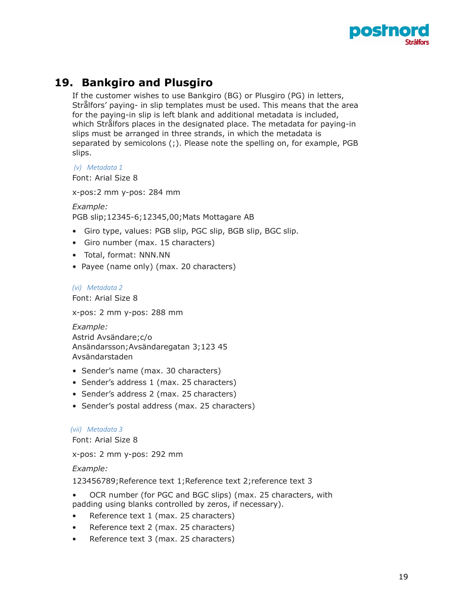

### **19. Bankgiro and Plusgiro**

<span id="page-18-0"></span>If the customer wishes to use Bankgiro (BG) or Plusgiro (PG) in letters, Strålfors' paying- in slip templates must be used. This means that the area for the paying-in slip is left blank and additional metadata is included, which Strålfors places in the designated place. The metadata for paying-in slips must be arranged in three strands, in which the metadata is separated by semicolons (;). Please note the spelling on, for example, PGB slips.

*(v) Metadata 1*

Font: Arial Size 8

x-pos:2 mm y-pos: 284 mm

*Example:* PGB slip;12345-6;12345,00;Mats Mottagare AB

- Giro type, values: PGB slip, PGC slip, BGB slip, BGC slip.
- Giro number (max. 15 characters)
- Total, format: NNN.NN
- Payee (name only) (max. 20 characters)

*(vi) Metadata 2*

Font: Arial Size 8

x-pos: 2 mm y-pos: 288 mm

```
Example:
Astrid Avsändare;c/o 
Ansändarsson;Avsändaregatan 3;123 45 
Avsändarstaden
```
- Sender's name (max. 30 characters)
- Sender's address 1 (max. 25 characters)
- Sender's address 2 (max. 25 characters)
- Sender's postal address (max. 25 characters)

#### *(vii) Metadata 3*

Font: Arial Size 8

x-pos: 2 mm y-pos: 292 mm

#### *Example:*

123456789;Reference text 1;Reference text 2;reference text 3

- OCR number (for PGC and BGC slips) (max. 25 characters, with padding using blanks controlled by zeros, if necessary).
- Reference text 1 (max. 25 characters)
- Reference text 2 (max. 25 characters)
- Reference text 3 (max. 25 characters)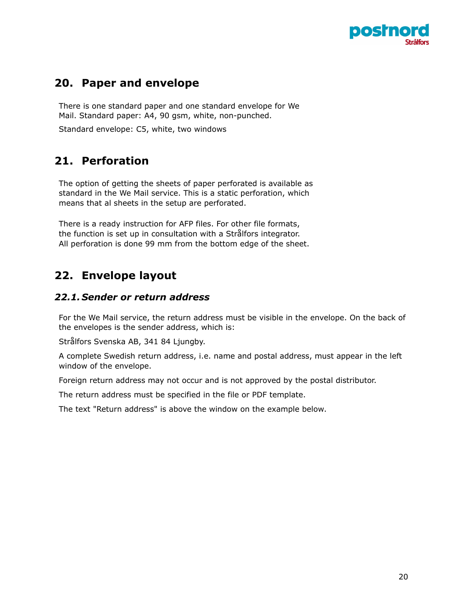

### **20. Paper and envelope**

There is one standard paper and one standard envelope for We Mail. Standard paper: A4, 90 gsm, white, non-punched.

<span id="page-19-0"></span>Standard envelope: C5, white, two windows

### **21. Perforation**

<span id="page-19-1"></span>The option of getting the sheets of paper perforated is available as standard in the We Mail service. This is a static perforation, which means that al sheets in the setup are perforated.

There is a ready instruction for AFP files. For other file formats, the function is set up in consultation with a Strålfors integrator. All perforation is done 99 mm from the bottom edge of the sheet.

### **22. Envelope layout**

#### *22.1. Sender or return address*

<span id="page-19-2"></span>For the We Mail service, the return address must be visible in the envelope. On the back of the envelopes is the sender address, which is:

<span id="page-19-3"></span>Strålfors Svenska AB, 341 84 Ljungby.

A complete Swedish return address, i.e. name and postal address, must appear in the left window of the envelope.

Foreign return address may not occur and is not approved by the postal distributor.

The return address must be specified in the file or PDF template.

The text "Return address" is above the window on the example below.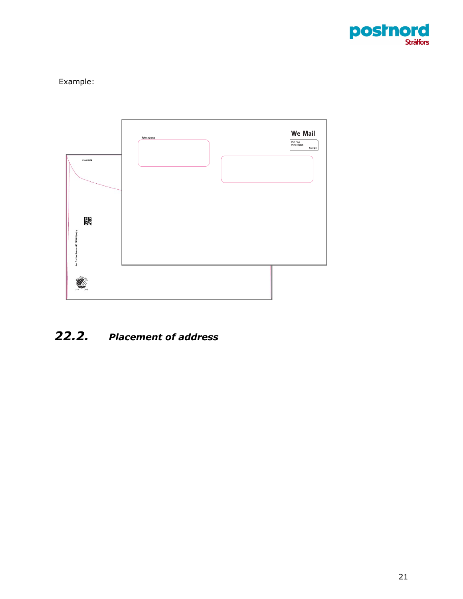

### Example:



# <span id="page-20-0"></span>*22.2. Placement of address*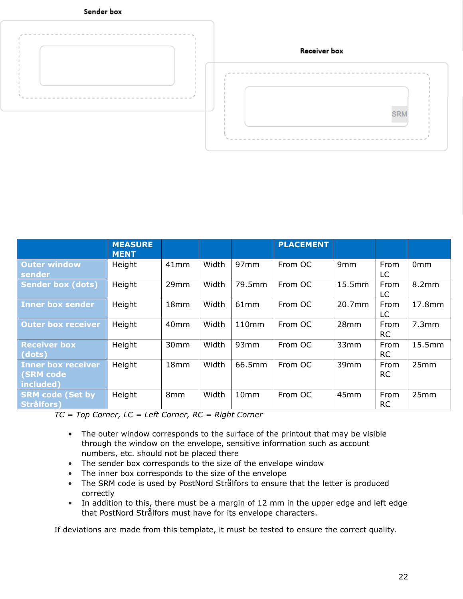



|                                                            | <b>MEASURE</b><br><b>MENT</b> |                  |       |                  | <b>PLACEMENT</b> |                  |                   |                 |
|------------------------------------------------------------|-------------------------------|------------------|-------|------------------|------------------|------------------|-------------------|-----------------|
| <b>Outer window</b><br>sender                              | Height                        | 41mm             | Width | 97mm             | From OC          | 9 <sub>mm</sub>  | From<br>LC        | 0 <sub>mm</sub> |
| <b>Sender box (dots)</b>                                   | Height                        | 29mm             | Width | 79.5mm           | From OC          | 15.5mm           | From<br>LC        | 8.2mm           |
| Inner box sender                                           | Height                        | 18 <sub>mm</sub> | Width | 61 <sub>mm</sub> | From OC          | 20.7mm           | From<br>LC        | 17.8mm          |
| <b>Outer box receiver</b>                                  | Height                        | 40 <sub>mm</sub> | Width | 110mm            | From OC          | 28 <sub>mm</sub> | From<br><b>RC</b> | 7.3mm           |
| <b>Receiver box</b><br>(dots)                              | Height                        | 30 <sub>mm</sub> | Width | 93mm             | From OC          | 33mm             | From<br><b>RC</b> | 15.5mm          |
| <b>Inner box receiver</b><br><b>(SRM code</b><br>included) | Height                        | 18 <sub>mm</sub> | Width | 66.5mm           | From OC          | 39 <sub>mm</sub> | From<br><b>RC</b> | 25mm            |
| <b>SRM code (Set by</b><br><b>Strålfors)</b>               | Height                        | 8mm              | Width | 10mm             | From OC          | 45mm             | From<br><b>RC</b> | 25mm            |

*TC = Top Corner, LC = Left Corner, RC = Right Corner* 

- The outer window corresponds to the surface of the printout that may be visible through the window on the envelope, sensitive information such as account numbers, etc. should not be placed there
- The sender box corresponds to the size of the envelope window
- The inner box corresponds to the size of the envelope
- The SRM code is used by PostNord Strålfors to ensure that the letter is produced correctly
- In addition to this, there must be a margin of 12 mm in the upper edge and left edge that PostNord Strålfors must have for its envelope characters.

If deviations are made from this template, it must be tested to ensure the correct quality.